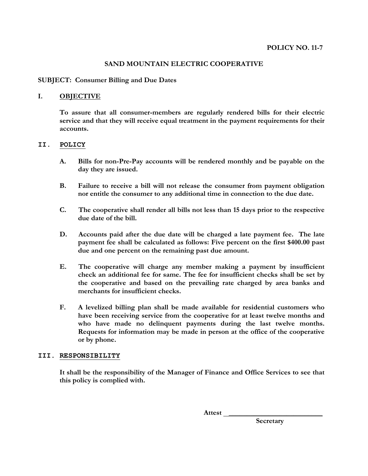# **SAND MOUNTAIN ELECTRIC COOPERATIVE**

## **SUBJECT: Consumer Billing and Due Dates**

## **I. OBJECTIVE**

**To assure that all consumer-members are regularly rendered bills for their electric service and that they will receive equal treatment in the payment requirements for their accounts.**

#### **II. POLICY**

- **A. Bills for non-Pre-Pay accounts will be rendered monthly and be payable on the day they are issued.**
- **B. Failure to receive a bill will not release the consumer from payment obligation nor entitle the consumer to any additional time in connection to the due date.**
- **C. The cooperative shall render all bills not less than 15 days prior to the respective due date of the bill.**
- **D. Accounts paid after the due date will be charged a late payment fee. The late payment fee shall be calculated as follows: Five percent on the first \$400.00 past due and one percent on the remaining past due amount.**
- **E. The cooperative will charge any member making a payment by insufficient check an additional fee for same. The fee for insufficient checks shall be set by the cooperative and based on the prevailing rate charged by area banks and merchants for insufficient checks.**
- **F. A levelized billing plan shall be made available for residential customers who have been receiving service from the cooperative for at least twelve months and who have made no delinquent payments during the last twelve months. Requests for information may be made in person at the office of the cooperative or by phone.**

#### **III. RESPONSIBILITY**

**It shall be the responsibility of the Manager of Finance and Office Services to see that this policy is complied with.**

 **Attest \_\_\_\_\_\_\_\_\_\_\_\_\_\_\_\_\_\_\_\_\_\_\_\_\_\_**

**Secretary**